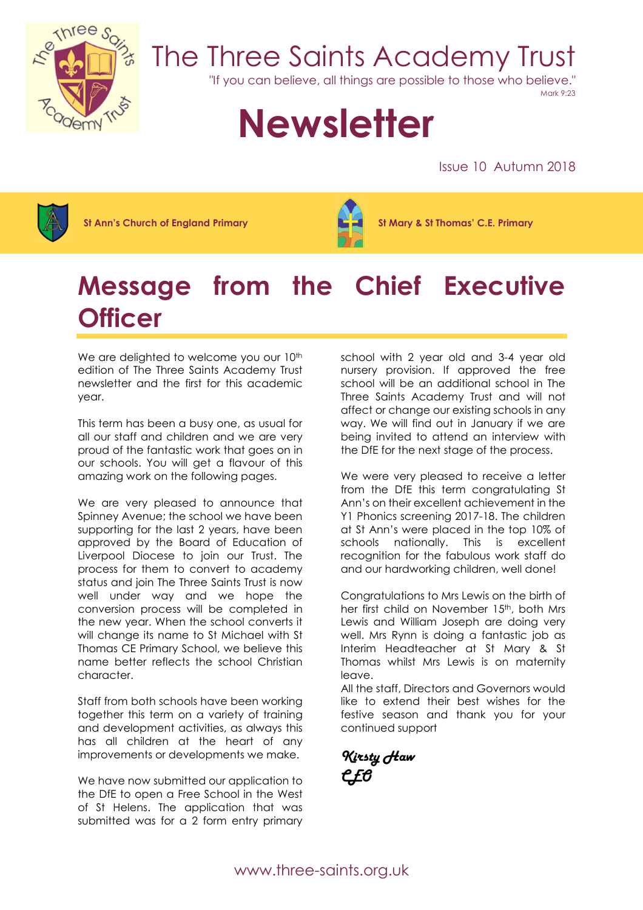

## The Three Saints Academy Trust

"If you can believe, all things are possible to those who believe."

Mark 9:23

# **Newsletter**

Issue 10 Autumn 2018



St Ann's Church of England Primary St Mary & St Thomas' C.E. Primary



### Message from the Chief Executive **Officer**

We are delighted to welcome you our 10<sup>th</sup> edition of The Three Saints Academy Trust newsletter and the first for this academic year.

This term has been a busy one, as usual for all our staff and children and we are very proud of the fantastic work that goes on in our schools. You will get a flavour of this amazing work on the following pages.

We are very pleased to announce that Spinney Avenue; the school we have been supporting for the last 2 years, have been approved by the Board of Education of Liverpool Diocese to join our Trust. The process for them to convert to academy status and join The Three Saints Trust is now well under way and we hope the conversion process will be completed in the new year. When the school converts it will change its name to St Michael with St Thomas CE Primary School, we believe this name better reflects the school Christian character.

Staff from both schools have been working together this term on a variety of training and development activities, as always this has all children at the heart of any improvements or developments we make.

We have now submitted our application to the DfE to open a Free School in the West of St Helens. The application that was submitted was for a 2 form entry primary

school with 2 year old and 3-4 year old nursery provision. If approved the free school will be an additional school in The Three Saints Academy Trust and will not affect or change our existing schools in any way. We will find out in January if we are being invited to attend an interview with the DfE for the next stage of the process.

We were very pleased to receive a letter from the DfE this term congratulating St Ann's on their excellent achievement in the Y1 Phonics screening 2017-18. The children at St Ann's were placed in the top 10% of schools nationally. This is excellent recognition for the fabulous work staff do and our hardworking children, well done!

Congratulations to Mrs Lewis on the birth of her first child on November 15<sup>th</sup>, both Mrs Lewis and William Joseph are doing very well. Mrs Rynn is doing a fantastic job as Interim Headteacher at St Mary & St Thomas whilst Mrs Lewis is on maternity leave.

All the staff, Directors and Governors would like to extend their best wishes for the festive season and thank you for your continued support

Kirsty Haw CEO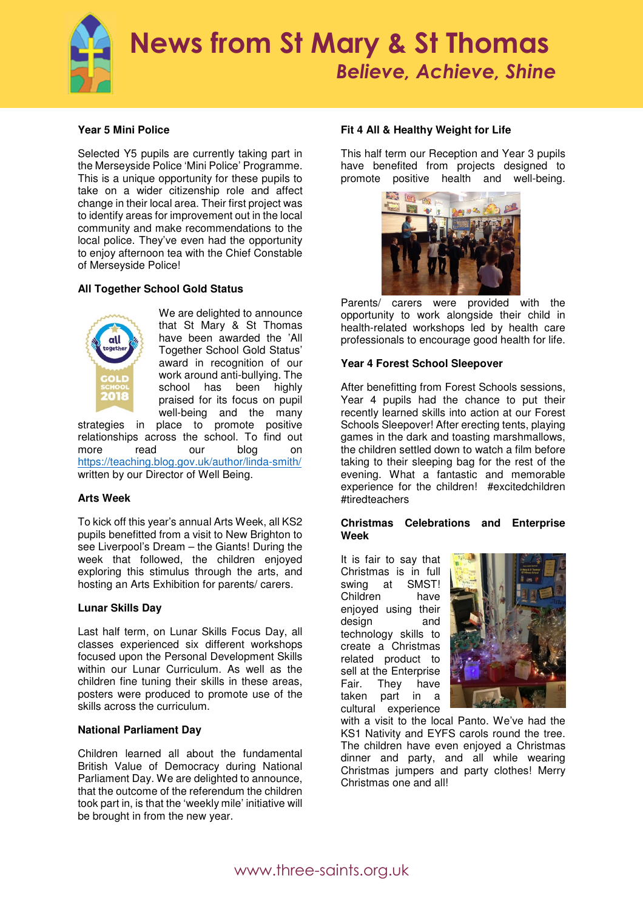

#### **Year 5 Mini Police**

Selected Y5 pupils are currently taking part in the Merseyside Police 'Mini Police' Programme. This is a unique opportunity for these pupils to take on a wider citizenship role and affect change in their local area. Their first project was to identify areas for improvement out in the local community and make recommendations to the local police. They've even had the opportunity to enjoy afternoon tea with the Chief Constable of Merseyside Police!

#### **All Together School Gold Status**



We are delighted to announce that St Mary & St Thomas have been awarded the 'All Together School Gold Status' award in recognition of our work around anti-bullying. The school has been highly praised for its focus on pupil well-being and the many

strategies in place to promote positive relationships across the school. To find out more read our blog on https://teaching.blog.gov.uk/author/linda-smith/ written by our Director of Well Being.

#### **Arts Week**

To kick off this year's annual Arts Week, all KS2 pupils benefitted from a visit to New Brighton to see Liverpool's Dream – the Giants! During the week that followed, the children enjoyed exploring this stimulus through the arts, and hosting an Arts Exhibition for parents/ carers.

#### **Lunar Skills Day**

Last half term, on Lunar Skills Focus Day, all classes experienced six different workshops focused upon the Personal Development Skills within our Lunar Curriculum. As well as the children fine tuning their skills in these areas, posters were produced to promote use of the skills across the curriculum.

#### **National Parliament Day**

Children learned all about the fundamental British Value of Democracy during National Parliament Day. We are delighted to announce, that the outcome of the referendum the children took part in, is that the 'weekly mile' initiative will be brought in from the new year.

#### **Fit 4 All & Healthy Weight for Life**

This half term our Reception and Year 3 pupils have benefited from projects designed to promote positive health and well-being.



Parents/ carers were provided with the opportunity to work alongside their child in health-related workshops led by health care professionals to encourage good health for life.

#### **Year 4 Forest School Sleepover**

After benefitting from Forest Schools sessions, Year 4 pupils had the chance to put their recently learned skills into action at our Forest Schools Sleepover! After erecting tents, playing games in the dark and toasting marshmallows, the children settled down to watch a film before taking to their sleeping bag for the rest of the evening. What a fantastic and memorable experience for the children! #excitedchildren #tiredteachers

#### **Christmas Celebrations and Enterprise Week**

It is fair to say that Christmas is in full swing at SMST! Children have enjoyed using their design and technology skills to create a Christmas related product to sell at the Enterprise<br>Fair. They have They taken part in a cultural experience



with a visit to the local Panto. We've had the KS1 Nativity and EYFS carols round the tree. The children have even enjoyed a Christmas dinner and party, and all while wearing Christmas jumpers and party clothes! Merry Christmas one and all!